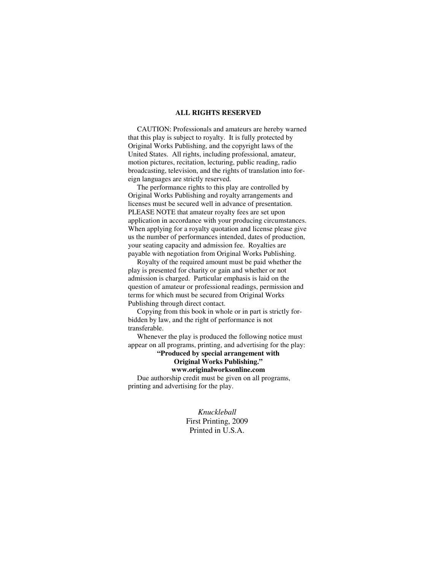#### **ALL RIGHTS RESERVED**

 CAUTION: Professionals and amateurs are hereby warned that this play is subject to royalty. It is fully protected by Original Works Publishing, and the copyright laws of the United States. All rights, including professional, amateur, motion pictures, recitation, lecturing, public reading, radio broadcasting, television, and the rights of translation into foreign languages are strictly reserved.

 The performance rights to this play are controlled by Original Works Publishing and royalty arrangements and licenses must be secured well in advance of presentation. PLEASE NOTE that amateur royalty fees are set upon application in accordance with your producing circumstances. When applying for a royalty quotation and license please give us the number of performances intended, dates of production, your seating capacity and admission fee. Royalties are payable with negotiation from Original Works Publishing.

 Royalty of the required amount must be paid whether the play is presented for charity or gain and whether or not admission is charged. Particular emphasis is laid on the question of amateur or professional readings, permission and terms for which must be secured from Original Works Publishing through direct contact.

 Copying from this book in whole or in part is strictly forbidden by law, and the right of performance is not transferable.

 Whenever the play is produced the following notice must appear on all programs, printing, and advertising for the play:

**"Produced by special arrangement with Original Works Publishing."** 

### **www.originalworksonline.com**

 Due authorship credit must be given on all programs, printing and advertising for the play.

> *Knuckleball*  First Printing, 2009 Printed in U.S.A.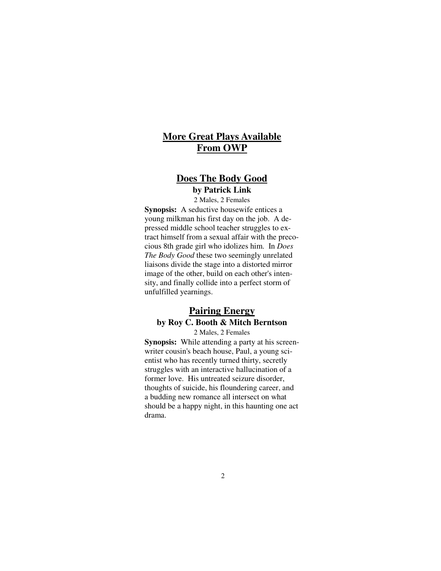# **More Great Plays Available From OWP**

## **Does The Body Good**

**by Patrick Link**

2 Males, 2 Females **Synopsis:** A seductive housewife entices a young milkman his first day on the job. A depressed middle school teacher struggles to extract himself from a sexual affair with the precocious 8th grade girl who idolizes him. In *Does The Body Good* these two seemingly unrelated liaisons divide the stage into a distorted mirror image of the other, build on each other's intensity, and finally collide into a perfect storm of unfulfilled yearnings.

# **Pairing Energy by Roy C. Booth & Mitch Berntson**

2 Males, 2 Females **Synopsis:** While attending a party at his screenwriter cousin's beach house, Paul, a young scientist who has recently turned thirty, secretly struggles with an interactive hallucination of a former love. His untreated seizure disorder, thoughts of suicide, his floundering career, and a budding new romance all intersect on what should be a happy night, in this haunting one act drama.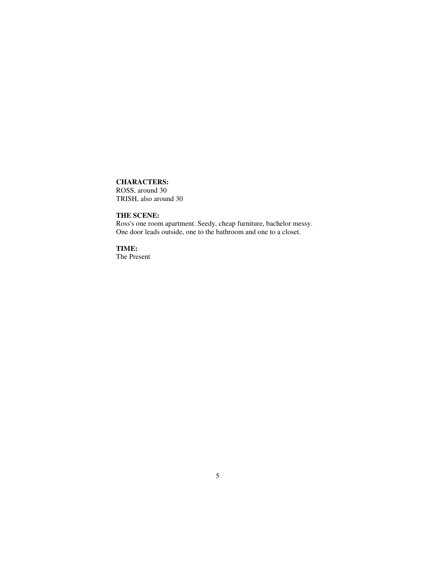### **CHARACTERS:**

ROSS, around 30 TRISH, also around 30

**THE SCENE:** 

Ross's one room apartment. Seedy, cheap furniture, bachelor messy. One door leads outside, one to the bathroom and one to a closet.

**TIME:**  The Present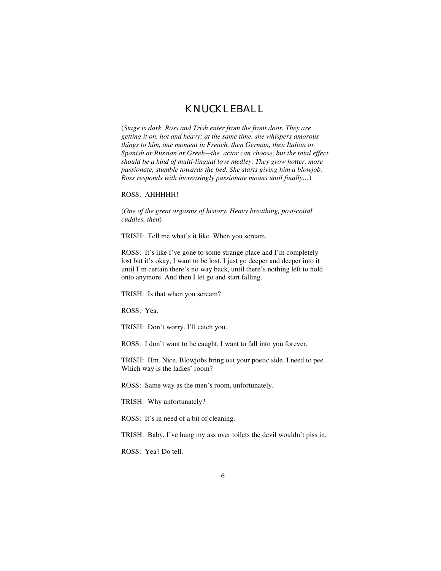### KNUCKLEBALL

(*Stage is dark. Ross and Trish enter from the front door. They are getting it on, hot and heavy; at the same time, she whispers amorous things to him, one moment in French, then German, then Italian or Spanish or Russian or Greek—the actor can choose, but the total effect should be a kind of multi-lingual love medley. They grow hotter, more passionate, stumble towards the bed. She starts giving him a blowjob. Ross responds with increasingly passionate moans until finally…*)

#### ROSS: AHHHHH!

(*One of the great orgasms of history. Heavy breathing, post-coital cuddles, then*)

TRISH: Tell me what's it like. When you scream.

ROSS: It's like I've gone to some strange place and I'm completely lost but it's okay, I want to be lost. I just go deeper and deeper into it until I'm certain there's no way back, until there's nothing left to hold onto anymore. And then I let go and start falling.

TRISH: Is that when you scream?

ROSS: Yea.

TRISH: Don't worry. I'll catch you.

ROSS: I don't want to be caught. I want to fall into you forever.

TRISH: Hm. Nice. Blowjobs bring out your poetic side. I need to pee. Which way is the ladies' room?

ROSS: Same way as the men's room, unfortunately.

TRISH: Why unfortunately?

ROSS: It's in need of a bit of cleaning.

TRISH: Baby, I've hung my ass over toilets the devil wouldn't piss in.

ROSS: Yea? Do tell.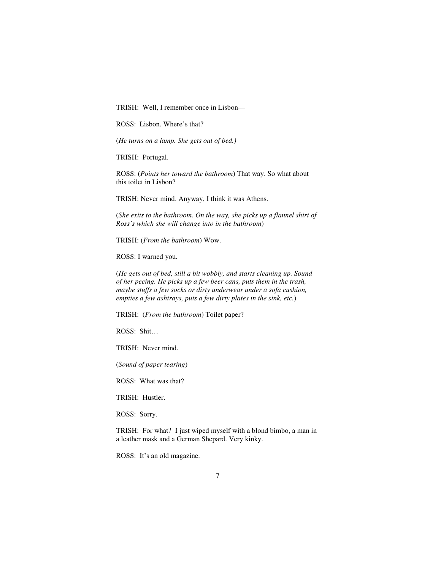TRISH: Well, I remember once in Lisbon—

ROSS: Lisbon. Where's that?

(*He turns on a lamp. She gets out of bed.)*

TRISH: Portugal.

ROSS: (*Points her toward the bathroom*) That way. So what about this toilet in Lisbon?

TRISH: Never mind. Anyway, I think it was Athens.

(*She exits to the bathroom. On the way, she picks up a flannel shirt of Ross's which she will change into in the bathroom*)

TRISH: (*From the bathroom*) Wow.

ROSS: I warned you.

(*He gets out of bed, still a bit wobbly, and starts cleaning up. Sound of her peeing. He picks up a few beer cans, puts them in the trash, maybe stuffs a few socks or dirty underwear under a sofa cushion, empties a few ashtrays, puts a few dirty plates in the sink, etc.*)

TRISH: (*From the bathroom*) Toilet paper?

ROSS: Shit…

TRISH: Never mind.

(*Sound of paper tearing*)

ROSS: What was that?

TRISH: Hustler.

ROSS: Sorry.

TRISH: For what? I just wiped myself with a blond bimbo, a man in a leather mask and a German Shepard. Very kinky.

ROSS: It's an old magazine.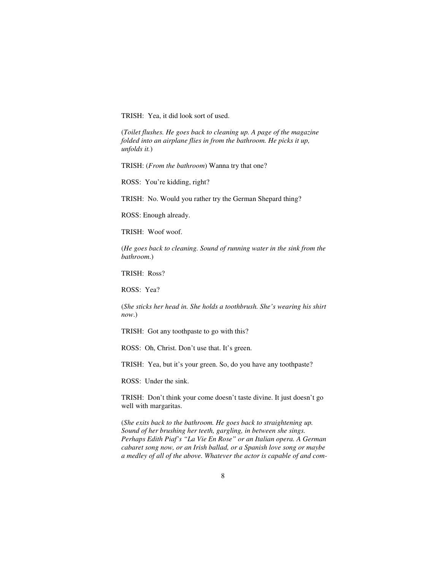TRISH: Yea, it did look sort of used.

(*Toilet flushes. He goes back to cleaning up. A page of the magazine folded into an airplane flies in from the bathroom. He picks it up, unfolds it.*)

TRISH: (*From the bathroom*) Wanna try that one?

ROSS: You're kidding, right?

TRISH: No. Would you rather try the German Shepard thing?

ROSS: Enough already.

TRISH: Woof woof.

(*He goes back to cleaning. Sound of running water in the sink from the bathroom*.)

TRISH: Ross?

ROSS: Yea?

(*She sticks her head in. She holds a toothbrush. She's wearing his shirt now*.)

TRISH: Got any toothpaste to go with this?

ROSS: Oh, Christ. Don't use that. It's green.

TRISH: Yea, but it's your green. So, do you have any toothpaste?

ROSS: Under the sink.

TRISH: Don't think your come doesn't taste divine. It just doesn't go well with margaritas.

(*She exits back to the bathroom. He goes back to straightening up. Sound of her brushing her teeth, gargling, in between she sings. Perhaps Edith Piaf's "La Vie En Rose" or an Italian opera. A German cabaret song now, or an Irish ballad, or a Spanish love song or maybe a medley of all of the above. Whatever the actor is capable of and com-*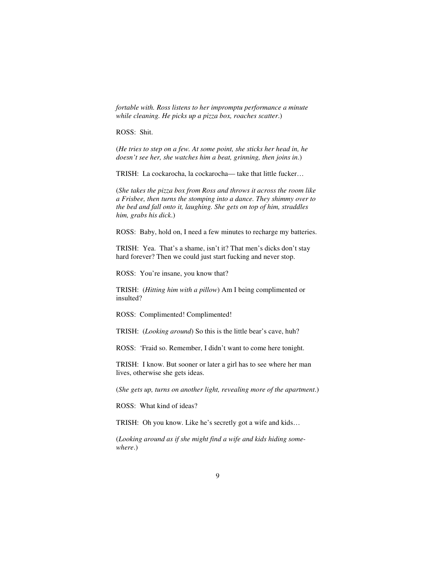*fortable with. Ross listens to her impromptu performance a minute while cleaning. He picks up a pizza box, roaches scatter*.)

ROSS: Shit.

(*He tries to step on a few. At some point, she sticks her head in, he doesn't see her, she watches him a beat, grinning, then joins in*.)

TRISH: La cockarocha, la cockarocha— take that little fucker…

(*She takes the pizza box from Ross and throws it across the room like a Frisbee, then turns the stomping into a dance. They shimmy over to the bed and fall onto it, laughing. She gets on top of him, straddles him, grabs his dick*.)

ROSS: Baby, hold on, I need a few minutes to recharge my batteries.

TRISH: Yea. That's a shame, isn't it? That men's dicks don't stay hard forever? Then we could just start fucking and never stop.

ROSS: You're insane, you know that?

TRISH: (*Hitting him with a pillow*) Am I being complimented or insulted?

ROSS: Complimented! Complimented!

TRISH: (*Looking around*) So this is the little bear's cave, huh?

ROSS: 'Fraid so. Remember, I didn't want to come here tonight.

TRISH: I know. But sooner or later a girl has to see where her man lives, otherwise she gets ideas.

(*She gets up, turns on another light, revealing more of the apartment*.)

ROSS: What kind of ideas?

TRISH: Oh you know. Like he's secretly got a wife and kids…

(*Looking around as if she might find a wife and kids hiding somewhere*.)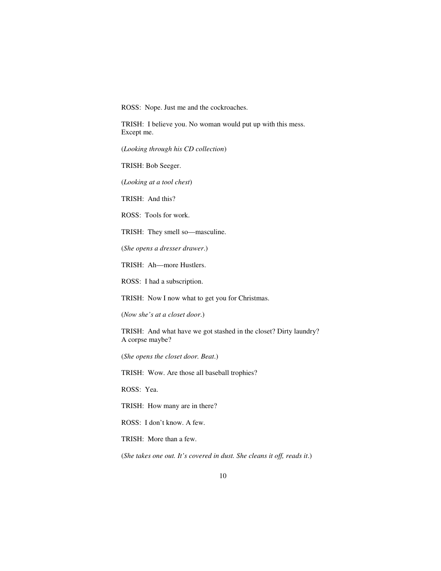ROSS: Nope. Just me and the cockroaches.

TRISH: I believe you. No woman would put up with this mess. Except me.

(*Looking through his CD collection*)

TRISH: Bob Seeger.

(*Looking at a tool chest*)

TRISH: And this?

ROSS: Tools for work.

TRISH: They smell so—masculine.

(*She opens a dresser drawer*.)

TRISH: Ah—more Hustlers.

ROSS: I had a subscription.

TRISH: Now I now what to get you for Christmas.

(*Now she's at a closet door*.)

TRISH: And what have we got stashed in the closet? Dirty laundry? A corpse maybe?

(*She opens the closet door. Beat*.)

TRISH: Wow. Are those all baseball trophies?

ROSS: Yea.

TRISH: How many are in there?

ROSS: I don't know. A few.

TRISH: More than a few.

(*She takes one out. It's covered in dust. She cleans it off, reads it*.)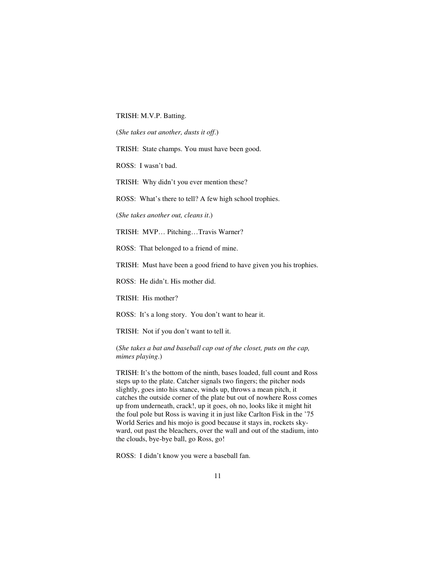TRISH: M.V.P. Batting.

(*She takes out another, dusts it off*.)

TRISH: State champs. You must have been good.

ROSS: I wasn't bad.

TRISH: Why didn't you ever mention these?

ROSS: What's there to tell? A few high school trophies.

(*She takes another out, cleans it*.)

TRISH: MVP… Pitching…Travis Warner?

ROSS: That belonged to a friend of mine.

TRISH: Must have been a good friend to have given you his trophies.

ROSS: He didn't. His mother did.

TRISH: His mother?

ROSS: It's a long story. You don't want to hear it.

TRISH: Not if you don't want to tell it.

(*She takes a bat and baseball cap out of the closet, puts on the cap, mimes playing*.)

TRISH: It's the bottom of the ninth, bases loaded, full count and Ross steps up to the plate. Catcher signals two fingers; the pitcher nods slightly, goes into his stance, winds up, throws a mean pitch, it catches the outside corner of the plate but out of nowhere Ross comes up from underneath, crack!, up it goes, oh no, looks like it might hit the foul pole but Ross is waving it in just like Carlton Fisk in the '75 World Series and his mojo is good because it stays in, rockets skyward, out past the bleachers, over the wall and out of the stadium, into the clouds, bye-bye ball, go Ross, go!

ROSS: I didn't know you were a baseball fan.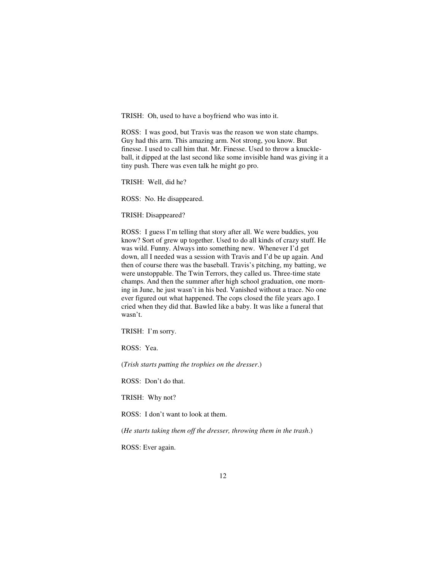TRISH: Oh, used to have a boyfriend who was into it.

ROSS: I was good, but Travis was the reason we won state champs. Guy had this arm. This amazing arm. Not strong, you know. But finesse. I used to call him that. Mr. Finesse. Used to throw a knuckleball, it dipped at the last second like some invisible hand was giving it a tiny push. There was even talk he might go pro.

TRISH: Well, did he?

ROSS: No. He disappeared.

TRISH: Disappeared?

ROSS: I guess I'm telling that story after all. We were buddies, you know? Sort of grew up together. Used to do all kinds of crazy stuff. He was wild. Funny. Always into something new. Whenever I'd get down, all I needed was a session with Travis and I'd be up again. And then of course there was the baseball. Travis's pitching, my batting, we were unstoppable. The Twin Terrors, they called us. Three-time state champs. And then the summer after high school graduation, one morning in June, he just wasn't in his bed. Vanished without a trace. No one ever figured out what happened. The cops closed the file years ago. I cried when they did that. Bawled like a baby. It was like a funeral that wasn't.

TRISH: I'm sorry.

ROSS: Yea.

(*Trish starts putting the trophies on the dresser*.)

ROSS: Don't do that.

TRISH: Why not?

ROSS: I don't want to look at them.

(*He starts taking them off the dresser, throwing them in the trash*.)

ROSS: Ever again.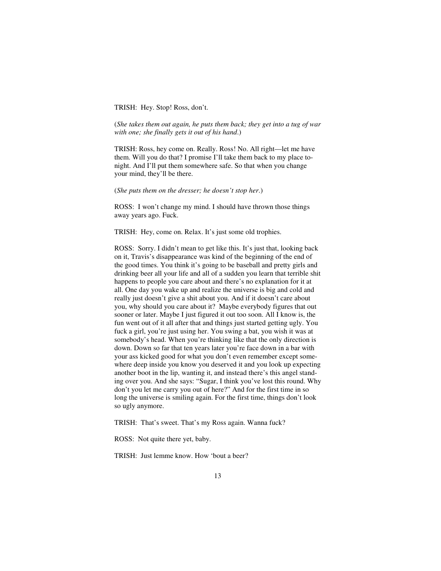#### TRISH: Hey. Stop! Ross, don't.

(*She takes them out again, he puts them back; they get into a tug of war with one; she finally gets it out of his hand*.)

TRISH: Ross, hey come on. Really. Ross! No. All right—let me have them. Will you do that? I promise I'll take them back to my place tonight. And I'll put them somewhere safe. So that when you change your mind, they'll be there.

#### (*She puts them on the dresser; he doesn't stop her*.)

ROSS: I won't change my mind. I should have thrown those things away years ago. Fuck.

TRISH: Hey, come on. Relax. It's just some old trophies.

ROSS: Sorry. I didn't mean to get like this. It's just that, looking back on it, Travis's disappearance was kind of the beginning of the end of the good times. You think it's going to be baseball and pretty girls and drinking beer all your life and all of a sudden you learn that terrible shit happens to people you care about and there's no explanation for it at all. One day you wake up and realize the universe is big and cold and really just doesn't give a shit about you. And if it doesn't care about you, why should you care about it? Maybe everybody figures that out sooner or later. Maybe I just figured it out too soon. All I know is, the fun went out of it all after that and things just started getting ugly. You fuck a girl, you're just using her. You swing a bat, you wish it was at somebody's head. When you're thinking like that the only direction is down. Down so far that ten years later you're face down in a bar with your ass kicked good for what you don't even remember except somewhere deep inside you know you deserved it and you look up expecting another boot in the lip, wanting it, and instead there's this angel standing over you. And she says: "Sugar, I think you've lost this round. Why don't you let me carry you out of here?" And for the first time in so long the universe is smiling again. For the first time, things don't look so ugly anymore.

TRISH: That's sweet. That's my Ross again. Wanna fuck?

ROSS: Not quite there yet, baby.

TRISH: Just lemme know. How 'bout a beer?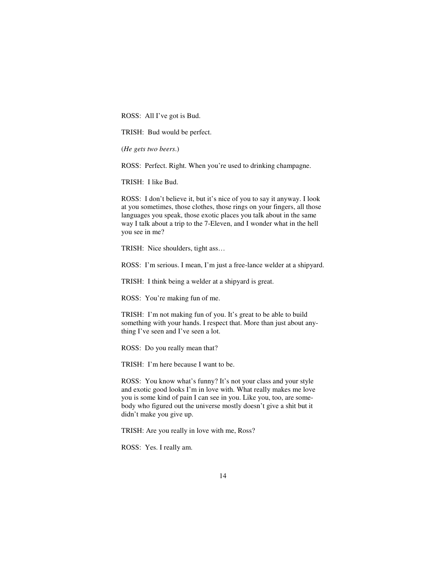ROSS: All I've got is Bud.

TRISH: Bud would be perfect.

(*He gets two beers*.)

ROSS: Perfect. Right. When you're used to drinking champagne.

TRISH: I like Bud.

ROSS: I don't believe it, but it's nice of you to say it anyway. I look at you sometimes, those clothes, those rings on your fingers, all those languages you speak, those exotic places you talk about in the same way I talk about a trip to the 7-Eleven, and I wonder what in the hell you see in me?

TRISH: Nice shoulders, tight ass…

ROSS: I'm serious. I mean, I'm just a free-lance welder at a shipyard.

TRISH: I think being a welder at a shipyard is great.

ROSS: You're making fun of me.

TRISH: I'm not making fun of you. It's great to be able to build something with your hands. I respect that. More than just about anything I've seen and I've seen a lot.

ROSS: Do you really mean that?

TRISH: I'm here because I want to be.

ROSS: You know what's funny? It's not your class and your style and exotic good looks I'm in love with. What really makes me love you is some kind of pain I can see in you. Like you, too, are somebody who figured out the universe mostly doesn't give a shit but it didn't make you give up.

TRISH: Are you really in love with me, Ross?

ROSS: Yes. I really am.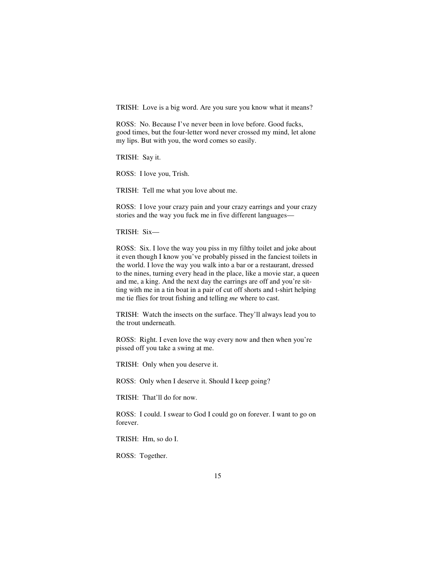TRISH: Love is a big word. Are you sure you know what it means?

ROSS: No. Because I've never been in love before. Good fucks, good times, but the four-letter word never crossed my mind, let alone my lips. But with you, the word comes so easily.

TRISH: Say it.

ROSS: I love you, Trish.

TRISH: Tell me what you love about me.

ROSS: I love your crazy pain and your crazy earrings and your crazy stories and the way you fuck me in five different languages—

TRISH: Six—

ROSS: Six. I love the way you piss in my filthy toilet and joke about it even though I know you've probably pissed in the fanciest toilets in the world. I love the way you walk into a bar or a restaurant, dressed to the nines, turning every head in the place, like a movie star, a queen and me, a king. And the next day the earrings are off and you're sitting with me in a tin boat in a pair of cut off shorts and t-shirt helping me tie flies for trout fishing and telling *me* where to cast.

TRISH: Watch the insects on the surface. They'll always lead you to the trout underneath.

ROSS: Right. I even love the way every now and then when you're pissed off you take a swing at me.

TRISH: Only when you deserve it.

ROSS: Only when I deserve it. Should I keep going?

TRISH: That'll do for now.

ROSS: I could. I swear to God I could go on forever. I want to go on forever.

TRISH: Hm, so do I.

ROSS: Together.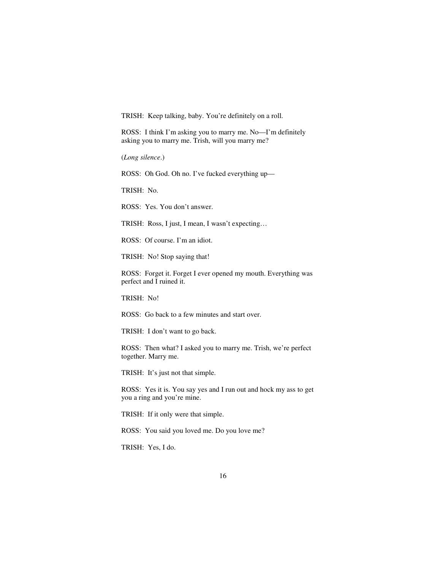TRISH: Keep talking, baby. You're definitely on a roll.

ROSS: I think I'm asking you to marry me. No—I'm definitely asking you to marry me. Trish, will you marry me?

(*Long silence*.)

ROSS: Oh God. Oh no. I've fucked everything up—

TRISH: No.

ROSS: Yes. You don't answer.

TRISH: Ross, I just, I mean, I wasn't expecting…

ROSS: Of course. I'm an idiot.

TRISH: No! Stop saying that!

ROSS: Forget it. Forget I ever opened my mouth. Everything was perfect and I ruined it.

TRISH: No!

ROSS: Go back to a few minutes and start over.

TRISH: I don't want to go back.

ROSS: Then what? I asked you to marry me. Trish, we're perfect together. Marry me.

TRISH: It's just not that simple.

ROSS: Yes it is. You say yes and I run out and hock my ass to get you a ring and you're mine.

TRISH: If it only were that simple.

ROSS: You said you loved me. Do you love me?

TRISH: Yes, I do.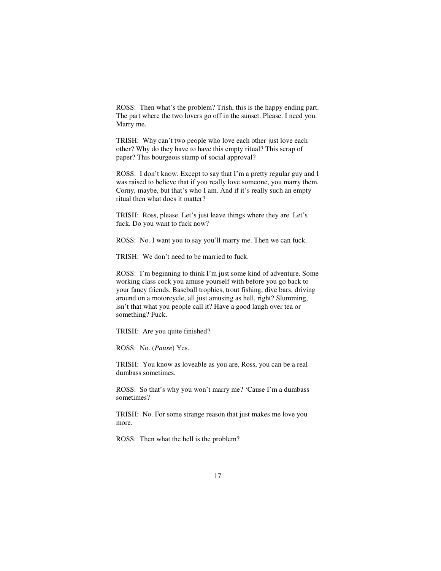ROSS: Then what's the problem? Trish, this is the happy ending part. The part where the two lovers go off in the sunset. Please. I need you. Marry me.

TRISH: Why can't two people who love each other just love each other? Why do they have to have this empty ritual? This scrap of paper? This bourgeois stamp of social approval?

ROSS: I don't know. Except to say that I'm a pretty regular guy and I was raised to believe that if you really love someone, you marry them. Corny, maybe, but that's who I am. And if it's really such an empty ritual then what does it matter?

TRISH: Ross, please. Let's just leave things where they are. Let's fuck. Do you want to fuck now?

ROSS: No. I want you to say you'll marry me. Then we can fuck.

TRISH: We don't need to be married to fuck.

ROSS: I'm beginning to think I'm just some kind of adventure. Some working class cock you amuse yourself with before you go back to your fancy friends. Baseball trophies, trout fishing, dive bars, driving around on a motorcycle, all just amusing as hell, right? Slumming, isn't that what you people call it? Have a good laugh over tea or something? Fuck.

TRISH: Are you quite finished?

ROSS: No. (*Pause*) Yes.

TRISH: You know as loveable as you are, Ross, you can be a real dumbass sometimes.

ROSS: So that's why you won't marry me? 'Cause I'm a dumbass sometimes?

TRISH: No. For some strange reason that just makes me love you more.

ROSS: Then what the hell is the problem?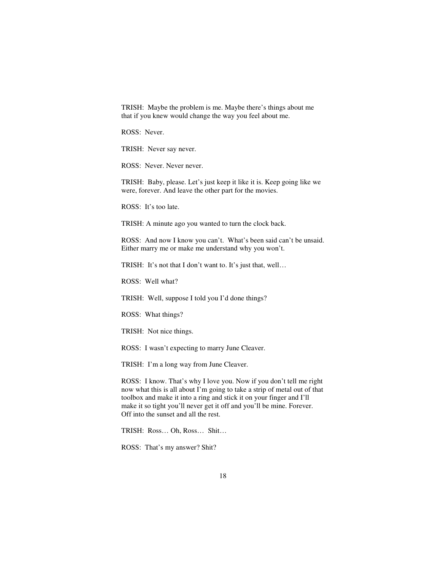TRISH: Maybe the problem is me. Maybe there's things about me that if you knew would change the way you feel about me.

ROSS: Never.

TRISH: Never say never.

ROSS: Never. Never never.

TRISH: Baby, please. Let's just keep it like it is. Keep going like we were, forever. And leave the other part for the movies.

ROSS: It's too late.

TRISH: A minute ago you wanted to turn the clock back.

ROSS: And now I know you can't. What's been said can't be unsaid. Either marry me or make me understand why you won't.

TRISH: It's not that I don't want to. It's just that, well…

ROSS: Well what?

TRISH: Well, suppose I told you I'd done things?

ROSS: What things?

TRISH: Not nice things.

ROSS: I wasn't expecting to marry June Cleaver.

TRISH: I'm a long way from June Cleaver.

ROSS: I know. That's why I love you. Now if you don't tell me right now what this is all about I'm going to take a strip of metal out of that toolbox and make it into a ring and stick it on your finger and I'll make it so tight you'll never get it off and you'll be mine. Forever. Off into the sunset and all the rest.

TRISH: Ross… Oh, Ross… Shit…

ROSS: That's my answer? Shit?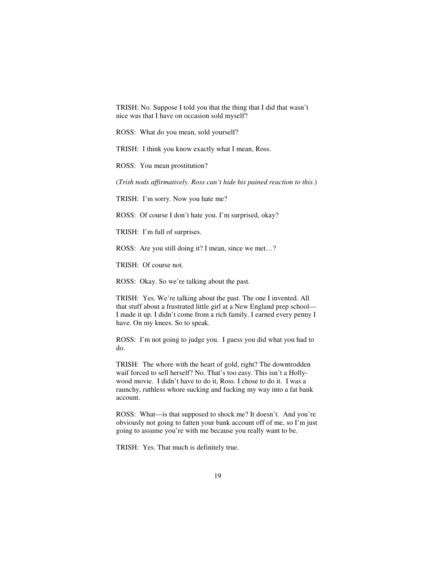TRISH: No. Suppose I told you that the thing that I did that wasn't nice was that I have on occasion sold myself?

ROSS: What do you mean, sold yourself?

TRISH: I think you know exactly what I mean, Ross.

ROSS: You mean prostitution?

(*Trish nods affirmatively. Ross can't hide his pained reaction to this*.)

TRISH: I'm sorry. Now you hate me?

ROSS: Of course I don't hate you. I'm surprised, okay?

TRISH: I'm full of surprises.

ROSS: Are you still doing it? I mean, since we met…?

TRISH: Of course not.

ROSS: Okay. So we're talking about the past.

TRISH: Yes. We're talking about the past. The one I invented. All that stuff about a frustrated little girl at a New England prep school— I made it up. I didn't come from a rich family. I earned every penny I have. On my knees. So to speak.

ROSS: I'm not going to judge you. I guess you did what you had to do.

TRISH: The whore with the heart of gold, right? The downtrodden waif forced to sell herself? No. That's too easy. This isn't a Hollywood movie. I didn't have to do it, Ross. I chose to do it. I was a raunchy, ruthless whore sucking and fucking my way into a fat bank account.

ROSS: What—is that supposed to shock me? It doesn't. And you're obviously not going to fatten your bank account off of me, so I'm just going to assume you're with me because you really want to be.

TRISH: Yes. That much is definitely true.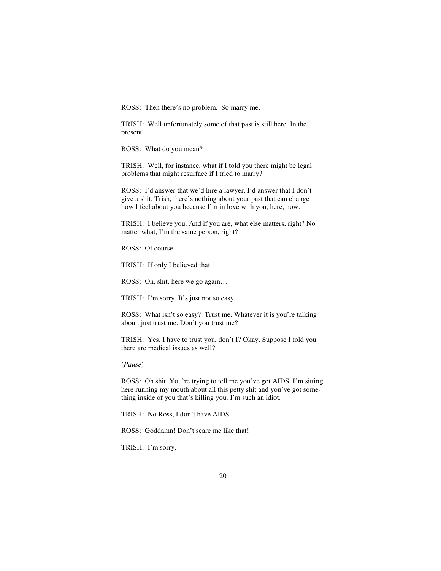ROSS: Then there's no problem. So marry me.

TRISH: Well unfortunately some of that past is still here. In the present.

ROSS: What do you mean?

TRISH: Well, for instance, what if I told you there might be legal problems that might resurface if I tried to marry?

ROSS: I'd answer that we'd hire a lawyer. I'd answer that I don't give a shit. Trish, there's nothing about your past that can change how I feel about you because I'm in love with you, here, now.

TRISH: I believe you. And if you are, what else matters, right? No matter what, I'm the same person, right?

ROSS: Of course.

TRISH: If only I believed that.

ROSS: Oh, shit, here we go again…

TRISH: I'm sorry. It's just not so easy.

ROSS: What isn't so easy? Trust me. Whatever it is you're talking about, just trust me. Don't you trust me?

TRISH: Yes. I have to trust you, don't I? Okay. Suppose I told you there are medical issues as well?

(*Pause*)

ROSS: Oh shit. You're trying to tell me you've got AIDS. I'm sitting here running my mouth about all this petty shit and you've got something inside of you that's killing you. I'm such an idiot.

TRISH: No Ross, I don't have AIDS.

ROSS: Goddamn! Don't scare me like that!

TRISH: I'm sorry.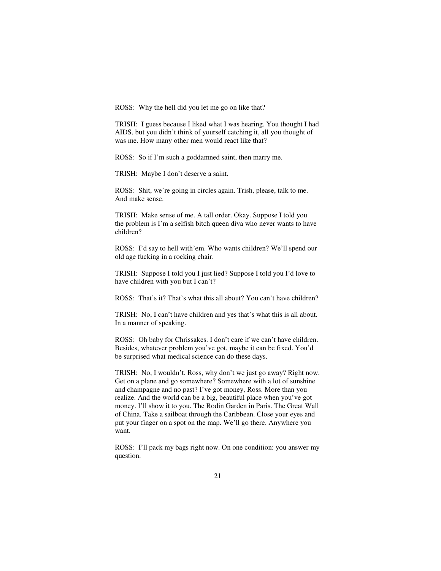ROSS: Why the hell did you let me go on like that?

TRISH: I guess because I liked what I was hearing. You thought I had AIDS, but you didn't think of yourself catching it, all you thought of was me. How many other men would react like that?

ROSS: So if I'm such a goddamned saint, then marry me.

TRISH: Maybe I don't deserve a saint.

ROSS: Shit, we're going in circles again. Trish, please, talk to me. And make sense.

TRISH: Make sense of me. A tall order. Okay. Suppose I told you the problem is I'm a selfish bitch queen diva who never wants to have children?

ROSS: I'd say to hell with'em. Who wants children? We'll spend our old age fucking in a rocking chair.

TRISH: Suppose I told you I just lied? Suppose I told you I'd love to have children with you but I can't?

ROSS: That's it? That's what this all about? You can't have children?

TRISH: No, I can't have children and yes that's what this is all about. In a manner of speaking.

ROSS: Oh baby for Chrissakes. I don't care if we can't have children. Besides, whatever problem you've got, maybe it can be fixed. You'd be surprised what medical science can do these days.

TRISH: No, I wouldn't. Ross, why don't we just go away? Right now. Get on a plane and go somewhere? Somewhere with a lot of sunshine and champagne and no past? I've got money, Ross. More than you realize. And the world can be a big, beautiful place when you've got money. I'll show it to you. The Rodin Garden in Paris. The Great Wall of China. Take a sailboat through the Caribbean. Close your eyes and put your finger on a spot on the map. We'll go there. Anywhere you want.

ROSS: I'll pack my bags right now. On one condition: you answer my question.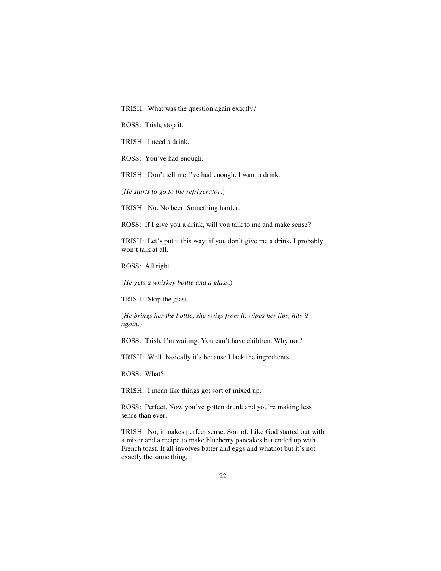TRISH: What was the question again exactly?

ROSS: Trish, stop it.

TRISH: I need a drink.

ROSS: You've had enough.

TRISH: Don't tell me I've had enough. I want a drink.

(*He starts to go to the refrigerator*.)

TRISH: No. No beer. Something harder.

ROSS: If I give you a drink, will you talk to me and make sense?

TRISH: Let's put it this way: if you don't give me a drink, I probably won't talk at all.

ROSS: All right.

(*He gets a whiskey bottle and a glass*.)

TRISH: Skip the glass.

(*He brings her the bottle, she swigs from it, wipes her lips, hits it again*.)

ROSS: Trish, I'm waiting. You can't have children. Why not?

TRISH: Well, basically it's because I lack the ingredients.

ROSS: What?

TRISH: I mean like things got sort of mixed up.

ROSS: Perfect. Now you've gotten drunk and you're making less sense than ever.

TRISH: No, it makes perfect sense. Sort of. Like God started out with a mixer and a recipe to make blueberry pancakes but ended up with French toast. It all involves batter and eggs and whatnot but it's not exactly the same thing.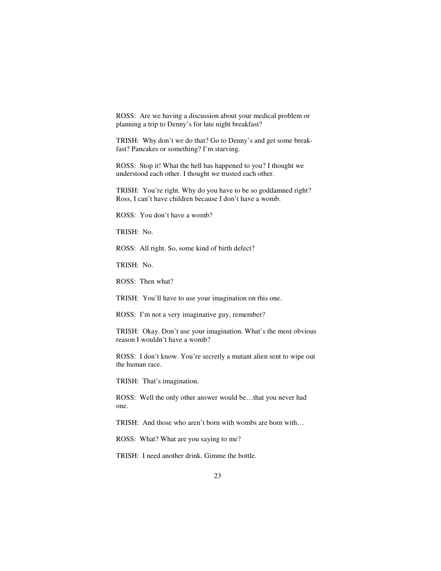ROSS: Are we having a discussion about your medical problem or planning a trip to Denny's for late night breakfast?

TRISH: Why don't we do that? Go to Denny's and get some breakfast? Pancakes or something? I'm starving.

ROSS: Stop it! What the hell has happened to you? I thought we understood each other. I thought we trusted each other.

TRISH: You're right. Why do you have to be so goddamned right? Ross, I can't have children because I don't have a womb.

ROSS: You don't have a womb?

TRISH: No.

ROSS: All right. So, some kind of birth defect?

TRISH: No.

ROSS: Then what?

TRISH: You'll have to use your imagination on this one.

ROSS: I'm not a very imaginative guy, remember?

TRISH: Okay. Don't use your imagination. What's the most obvious reason I wouldn't have a womb?

ROSS: I don't know. You're secretly a mutant alien sent to wipe out the human race.

TRISH: That's imagination.

ROSS: Well the only other answer would be…that you never had one.

TRISH: And those who aren't born with wombs are born with…

ROSS: What? What are you saying to me?

TRISH: I need another drink. Gimme the bottle.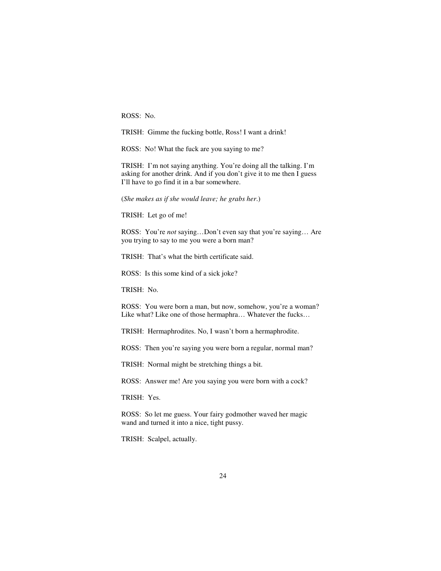ROSS: No.

TRISH: Gimme the fucking bottle, Ross! I want a drink!

ROSS: No! What the fuck are you saying to me?

TRISH: I'm not saying anything. You're doing all the talking. I'm asking for another drink. And if you don't give it to me then I guess I'll have to go find it in a bar somewhere.

(*She makes as if she would leave; he grabs her*.)

TRISH: Let go of me!

ROSS: You're *not* saying…Don't even say that you're saying… Are you trying to say to me you were a born man?

TRISH: That's what the birth certificate said.

ROSS: Is this some kind of a sick joke?

TRISH: No.

ROSS: You were born a man, but now, somehow, you're a woman? Like what? Like one of those hermaphra… Whatever the fucks…

TRISH: Hermaphrodites. No, I wasn't born a hermaphrodite.

ROSS: Then you're saying you were born a regular, normal man?

TRISH: Normal might be stretching things a bit.

ROSS: Answer me! Are you saying you were born with a cock?

TRISH: Yes.

ROSS: So let me guess. Your fairy godmother waved her magic wand and turned it into a nice, tight pussy.

TRISH: Scalpel, actually.